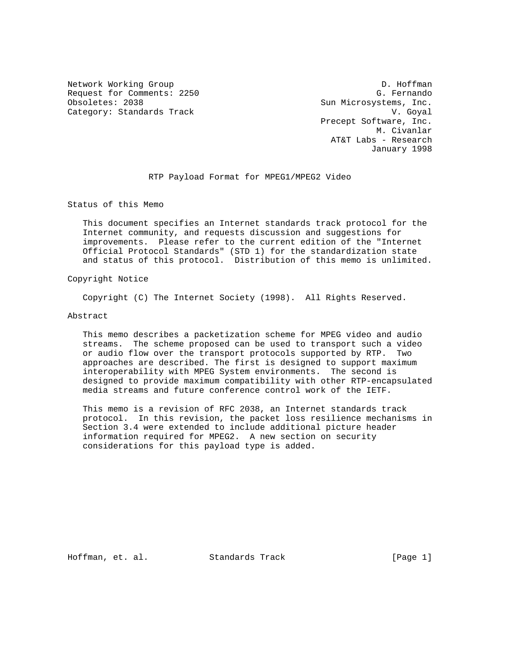Network Working Group D. Hoffman Request for Comments: 2250 G. Fernando<br>Obsoletes: 2038 Gun Microsystems, Inc. Category: Standards Track V. Goyal

Sun Microsystems, Inc. Precept Software, Inc. M. Civanlar AT&T Labs - Research January 1998

# RTP Payload Format for MPEG1/MPEG2 Video

Status of this Memo

 This document specifies an Internet standards track protocol for the Internet community, and requests discussion and suggestions for improvements. Please refer to the current edition of the "Internet Official Protocol Standards" (STD 1) for the standardization state and status of this protocol. Distribution of this memo is unlimited.

## Copyright Notice

Copyright (C) The Internet Society (1998). All Rights Reserved.

## Abstract

 This memo describes a packetization scheme for MPEG video and audio streams. The scheme proposed can be used to transport such a video or audio flow over the transport protocols supported by RTP. Two approaches are described. The first is designed to support maximum interoperability with MPEG System environments. The second is designed to provide maximum compatibility with other RTP-encapsulated media streams and future conference control work of the IETF.

 This memo is a revision of RFC 2038, an Internet standards track protocol. In this revision, the packet loss resilience mechanisms in Section 3.4 were extended to include additional picture header information required for MPEG2. A new section on security considerations for this payload type is added.

Hoffman, et. al. Standards Track [Page 1]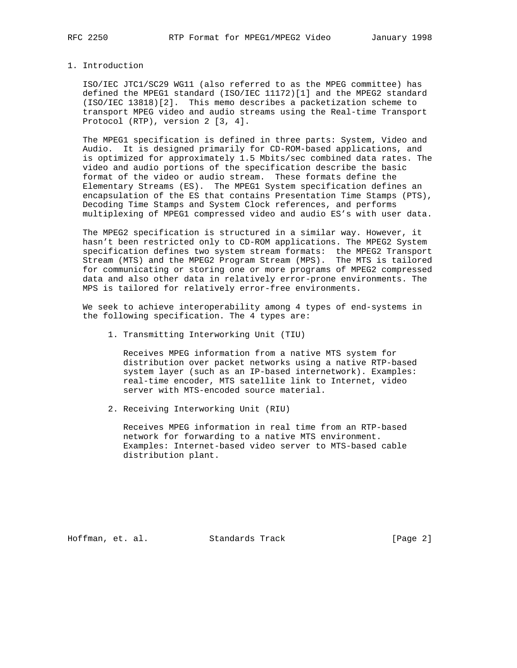### 1. Introduction

 ISO/IEC JTC1/SC29 WG11 (also referred to as the MPEG committee) has defined the MPEG1 standard (ISO/IEC 11172)[1] and the MPEG2 standard (ISO/IEC 13818)[2]. This memo describes a packetization scheme to transport MPEG video and audio streams using the Real-time Transport Protocol (RTP), version 2 [3, 4].

 The MPEG1 specification is defined in three parts: System, Video and Audio. It is designed primarily for CD-ROM-based applications, and is optimized for approximately 1.5 Mbits/sec combined data rates. The video and audio portions of the specification describe the basic format of the video or audio stream. These formats define the Elementary Streams (ES). The MPEG1 System specification defines an encapsulation of the ES that contains Presentation Time Stamps (PTS), Decoding Time Stamps and System Clock references, and performs multiplexing of MPEG1 compressed video and audio ES's with user data.

 The MPEG2 specification is structured in a similar way. However, it hasn't been restricted only to CD-ROM applications. The MPEG2 System specification defines two system stream formats: the MPEG2 Transport Stream (MTS) and the MPEG2 Program Stream (MPS). The MTS is tailored for communicating or storing one or more programs of MPEG2 compressed data and also other data in relatively error-prone environments. The MPS is tailored for relatively error-free environments.

 We seek to achieve interoperability among 4 types of end-systems in the following specification. The 4 types are:

1. Transmitting Interworking Unit (TIU)

 Receives MPEG information from a native MTS system for distribution over packet networks using a native RTP-based system layer (such as an IP-based internetwork). Examples: real-time encoder, MTS satellite link to Internet, video server with MTS-encoded source material.

2. Receiving Interworking Unit (RIU)

 Receives MPEG information in real time from an RTP-based network for forwarding to a native MTS environment. Examples: Internet-based video server to MTS-based cable distribution plant.

Hoffman, et. al. Standards Track [Page 2]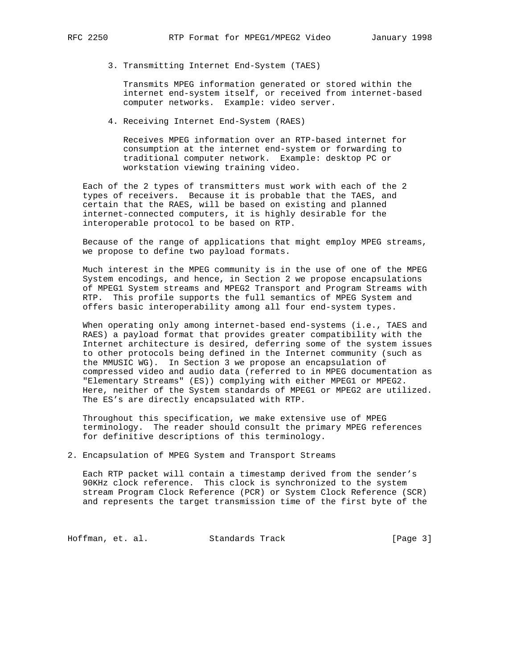3. Transmitting Internet End-System (TAES)

 Transmits MPEG information generated or stored within the internet end-system itself, or received from internet-based computer networks. Example: video server.

4. Receiving Internet End-System (RAES)

 Receives MPEG information over an RTP-based internet for consumption at the internet end-system or forwarding to traditional computer network. Example: desktop PC or workstation viewing training video.

 Each of the 2 types of transmitters must work with each of the 2 types of receivers. Because it is probable that the TAES, and certain that the RAES, will be based on existing and planned internet-connected computers, it is highly desirable for the interoperable protocol to be based on RTP.

 Because of the range of applications that might employ MPEG streams, we propose to define two payload formats.

 Much interest in the MPEG community is in the use of one of the MPEG System encodings, and hence, in Section 2 we propose encapsulations of MPEG1 System streams and MPEG2 Transport and Program Streams with RTP. This profile supports the full semantics of MPEG System and offers basic interoperability among all four end-system types.

When operating only among internet-based end-systems (i.e., TAES and RAES) a payload format that provides greater compatibility with the Internet architecture is desired, deferring some of the system issues to other protocols being defined in the Internet community (such as the MMUSIC WG). In Section 3 we propose an encapsulation of compressed video and audio data (referred to in MPEG documentation as "Elementary Streams" (ES)) complying with either MPEG1 or MPEG2. Here, neither of the System standards of MPEG1 or MPEG2 are utilized. The ES's are directly encapsulated with RTP.

 Throughout this specification, we make extensive use of MPEG terminology. The reader should consult the primary MPEG references for definitive descriptions of this terminology.

2. Encapsulation of MPEG System and Transport Streams

 Each RTP packet will contain a timestamp derived from the sender's 90KHz clock reference. This clock is synchronized to the system stream Program Clock Reference (PCR) or System Clock Reference (SCR) and represents the target transmission time of the first byte of the

Hoffman, et. al. Standards Track [Page 3]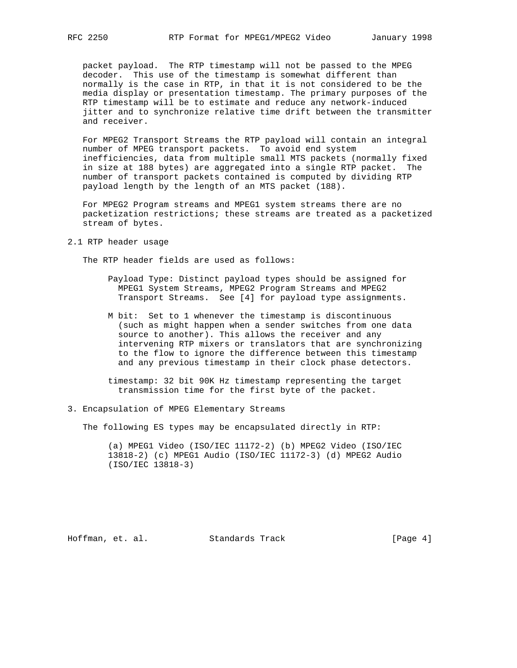packet payload. The RTP timestamp will not be passed to the MPEG decoder. This use of the timestamp is somewhat different than normally is the case in RTP, in that it is not considered to be the media display or presentation timestamp. The primary purposes of the RTP timestamp will be to estimate and reduce any network-induced jitter and to synchronize relative time drift between the transmitter and receiver.

 For MPEG2 Transport Streams the RTP payload will contain an integral number of MPEG transport packets. To avoid end system inefficiencies, data from multiple small MTS packets (normally fixed in size at 188 bytes) are aggregated into a single RTP packet. The number of transport packets contained is computed by dividing RTP payload length by the length of an MTS packet (188).

 For MPEG2 Program streams and MPEG1 system streams there are no packetization restrictions; these streams are treated as a packetized stream of bytes.

2.1 RTP header usage

The RTP header fields are used as follows:

- Payload Type: Distinct payload types should be assigned for MPEG1 System Streams, MPEG2 Program Streams and MPEG2 Transport Streams. See [4] for payload type assignments.
- M bit: Set to 1 whenever the timestamp is discontinuous (such as might happen when a sender switches from one data source to another). This allows the receiver and any intervening RTP mixers or translators that are synchronizing to the flow to ignore the difference between this timestamp and any previous timestamp in their clock phase detectors.

 timestamp: 32 bit 90K Hz timestamp representing the target transmission time for the first byte of the packet.

3. Encapsulation of MPEG Elementary Streams

The following ES types may be encapsulated directly in RTP:

 (a) MPEG1 Video (ISO/IEC 11172-2) (b) MPEG2 Video (ISO/IEC 13818-2) (c) MPEG1 Audio (ISO/IEC 11172-3) (d) MPEG2 Audio (ISO/IEC 13818-3)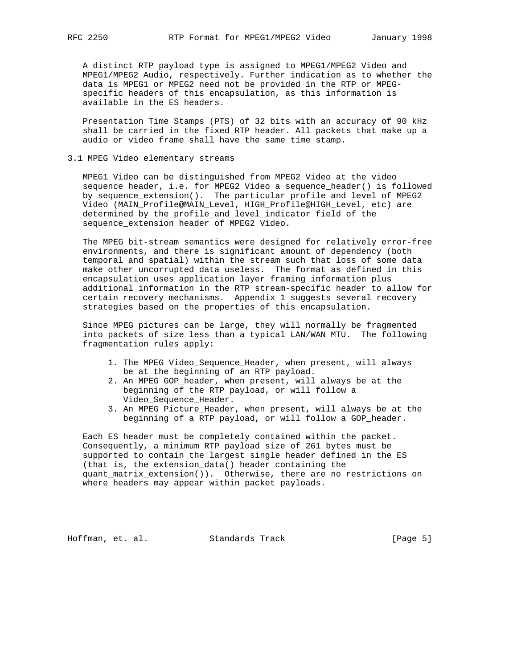A distinct RTP payload type is assigned to MPEG1/MPEG2 Video and MPEG1/MPEG2 Audio, respectively. Further indication as to whether the data is MPEG1 or MPEG2 need not be provided in the RTP or MPEG specific headers of this encapsulation, as this information is available in the ES headers.

 Presentation Time Stamps (PTS) of 32 bits with an accuracy of 90 kHz shall be carried in the fixed RTP header. All packets that make up a audio or video frame shall have the same time stamp.

3.1 MPEG Video elementary streams

 MPEG1 Video can be distinguished from MPEG2 Video at the video sequence header, i.e. for MPEG2 Video a sequence\_header() is followed by sequence\_extension(). The particular profile and level of MPEG2 Video (MAIN\_Profile@MAIN\_Level, HIGH\_Profile@HIGH\_Level, etc) are determined by the profile\_and\_level\_indicator field of the sequence\_extension header of MPEG2 Video.

 The MPEG bit-stream semantics were designed for relatively error-free environments, and there is significant amount of dependency (both temporal and spatial) within the stream such that loss of some data make other uncorrupted data useless. The format as defined in this encapsulation uses application layer framing information plus additional information in the RTP stream-specific header to allow for certain recovery mechanisms. Appendix 1 suggests several recovery strategies based on the properties of this encapsulation.

 Since MPEG pictures can be large, they will normally be fragmented into packets of size less than a typical LAN/WAN MTU. The following fragmentation rules apply:

- 1. The MPEG Video\_Sequence\_Header, when present, will always be at the beginning of an RTP payload.
- 2. An MPEG GOP\_header, when present, will always be at the beginning of the RTP payload, or will follow a Video Sequence Header.
- 3. An MPEG Picture\_Header, when present, will always be at the beginning of a RTP payload, or will follow a GOP\_header.

 Each ES header must be completely contained within the packet. Consequently, a minimum RTP payload size of 261 bytes must be supported to contain the largest single header defined in the ES (that is, the extension\_data() header containing the quant\_matrix\_extension()). Otherwise, there are no restrictions on where headers may appear within packet payloads.

Hoffman, et. al. Standards Track [Page 5]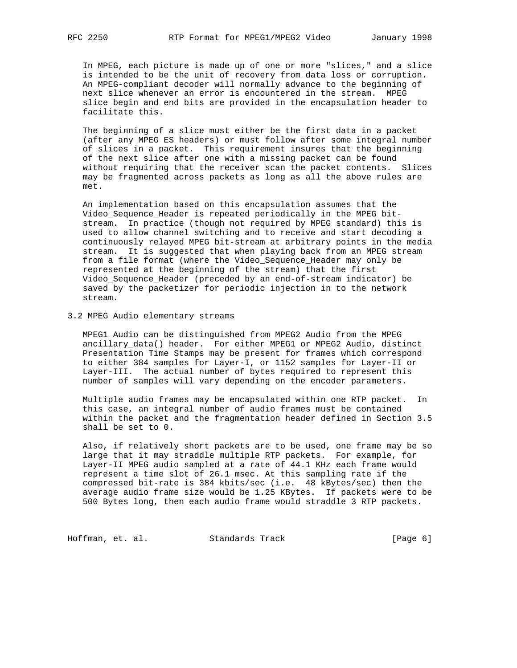In MPEG, each picture is made up of one or more "slices," and a slice is intended to be the unit of recovery from data loss or corruption. An MPEG-compliant decoder will normally advance to the beginning of next slice whenever an error is encountered in the stream. MPEG slice begin and end bits are provided in the encapsulation header to facilitate this.

 The beginning of a slice must either be the first data in a packet (after any MPEG ES headers) or must follow after some integral number of slices in a packet. This requirement insures that the beginning of the next slice after one with a missing packet can be found without requiring that the receiver scan the packet contents. Slices may be fragmented across packets as long as all the above rules are met.

 An implementation based on this encapsulation assumes that the Video\_Sequence\_Header is repeated periodically in the MPEG bit stream. In practice (though not required by MPEG standard) this is used to allow channel switching and to receive and start decoding a continuously relayed MPEG bit-stream at arbitrary points in the media stream. It is suggested that when playing back from an MPEG stream from a file format (where the Video\_Sequence\_Header may only be represented at the beginning of the stream) that the first Video\_Sequence\_Header (preceded by an end-of-stream indicator) be saved by the packetizer for periodic injection in to the network stream.

3.2 MPEG Audio elementary streams

 MPEG1 Audio can be distinguished from MPEG2 Audio from the MPEG ancillary\_data() header. For either MPEG1 or MPEG2 Audio, distinct Presentation Time Stamps may be present for frames which correspond to either 384 samples for Layer-I, or 1152 samples for Layer-II or Layer-III. The actual number of bytes required to represent this number of samples will vary depending on the encoder parameters.

 Multiple audio frames may be encapsulated within one RTP packet. In this case, an integral number of audio frames must be contained within the packet and the fragmentation header defined in Section 3.5 shall be set to 0.

 Also, if relatively short packets are to be used, one frame may be so large that it may straddle multiple RTP packets. For example, for Layer-II MPEG audio sampled at a rate of 44.1 KHz each frame would represent a time slot of 26.1 msec. At this sampling rate if the compressed bit-rate is 384 kbits/sec (i.e. 48 kBytes/sec) then the average audio frame size would be 1.25 KBytes. If packets were to be 500 Bytes long, then each audio frame would straddle 3 RTP packets.

Hoffman, et. al. Standards Track [Page 6]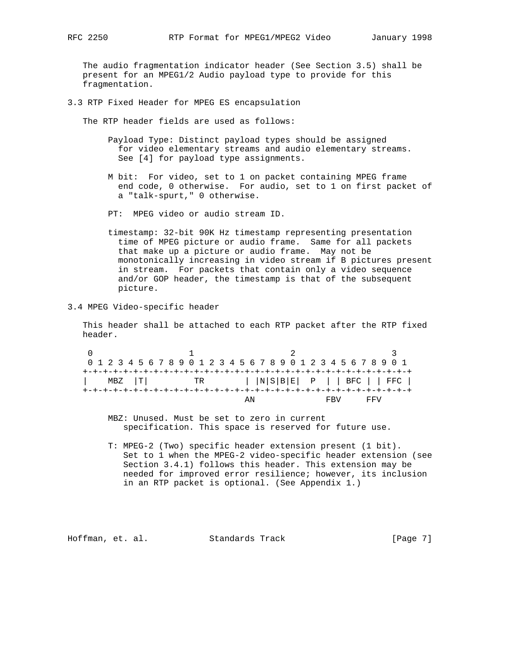The audio fragmentation indicator header (See Section 3.5) shall be present for an MPEG1/2 Audio payload type to provide for this fragmentation.

3.3 RTP Fixed Header for MPEG ES encapsulation

The RTP header fields are used as follows:

- Payload Type: Distinct payload types should be assigned for video elementary streams and audio elementary streams. See [4] for payload type assignments.
- M bit: For video, set to 1 on packet containing MPEG frame end code, 0 otherwise. For audio, set to 1 on first packet of a "talk-spurt," 0 otherwise.
- PT: MPEG video or audio stream ID.
- timestamp: 32-bit 90K Hz timestamp representing presentation time of MPEG picture or audio frame. Same for all packets that make up a picture or audio frame. May not be monotonically increasing in video stream if B pictures present in stream. For packets that contain only a video sequence and/or GOP header, the timestamp is that of the subsequent picture.
- 3.4 MPEG Video-specific header

 This header shall be attached to each RTP packet after the RTP fixed header.

0  $1$  2 3 0 1 2 3 4 5 6 7 8 9 0 1 2 3 4 5 6 7 8 9 0 1 2 3 4 5 6 7 8 9 0 1 +-+-+-+-+-+-+-+-+-+-+-+-+-+-+-+-+-+-+-+-+-+-+-+-+-+-+-+-+-+-+-+-+ | MBZ |T| TR | |N|S|B|E| P | | BFC | | FFC | +-+-+-+-+-+-+-+-+-+-+-+-+-+-+-+-+-+-+-+-+-+-+-+-+-+-+-+-+-+-+-+-+ AN FBV FFV

> MBZ: Unused. Must be set to zero in current specification. This space is reserved for future use.

 T: MPEG-2 (Two) specific header extension present (1 bit). Set to 1 when the MPEG-2 video-specific header extension (see Section 3.4.1) follows this header. This extension may be needed for improved error resilience; however, its inclusion in an RTP packet is optional. (See Appendix 1.)

Hoffman, et. al. Standards Track [Page 7]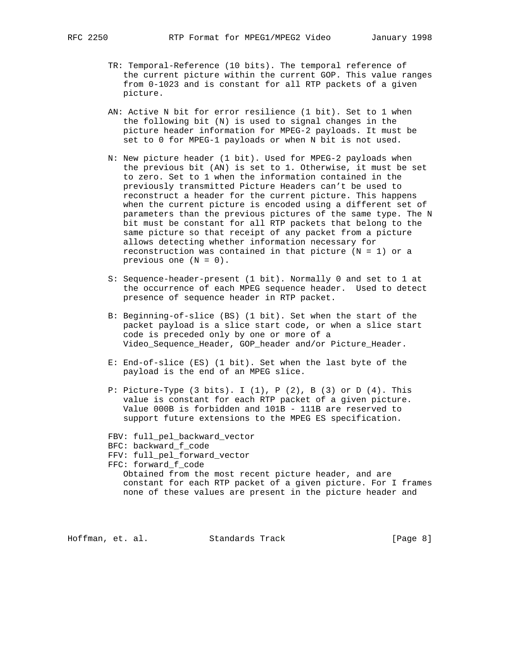- TR: Temporal-Reference (10 bits). The temporal reference of the current picture within the current GOP. This value ranges from 0-1023 and is constant for all RTP packets of a given
	- AN: Active N bit for error resilience (1 bit). Set to 1 when the following bit (N) is used to signal changes in the picture header information for MPEG-2 payloads. It must be set to 0 for MPEG-1 payloads or when N bit is not used.
	- N: New picture header (1 bit). Used for MPEG-2 payloads when the previous bit (AN) is set to 1. Otherwise, it must be set to zero. Set to 1 when the information contained in the previously transmitted Picture Headers can't be used to reconstruct a header for the current picture. This happens when the current picture is encoded using a different set of parameters than the previous pictures of the same type. The N bit must be constant for all RTP packets that belong to the same picture so that receipt of any packet from a picture allows detecting whether information necessary for reconstruction was contained in that picture  $(N = 1)$  or a previous one (N = 0).
	- S: Sequence-header-present (1 bit). Normally 0 and set to 1 at the occurrence of each MPEG sequence header. Used to detect presence of sequence header in RTP packet.
	- B: Beginning-of-slice (BS) (1 bit). Set when the start of the packet payload is a slice start code, or when a slice start code is preceded only by one or more of a Video Sequence Header, GOP header and/or Picture Header.
	- E: End-of-slice (ES) (1 bit). Set when the last byte of the payload is the end of an MPEG slice.
	- P: Picture-Type  $(3 \text{ bits})$ . I  $(1)$ , P  $(2)$ , B  $(3)$  or D  $(4)$ . This value is constant for each RTP packet of a given picture. Value 000B is forbidden and 101B - 111B are reserved to support future extensions to the MPEG ES specification.
	- FBV: full\_pel\_backward\_vector
	- BFC: backward\_f\_code
	- FFV: full\_pel\_forward\_vector

 FFC: forward\_f\_code Obtained from the most recent picture header, and are constant for each RTP packet of a given picture. For I frames

none of these values are present in the picture header and

Hoffman, et. al. Standards Track [Page 8]

picture.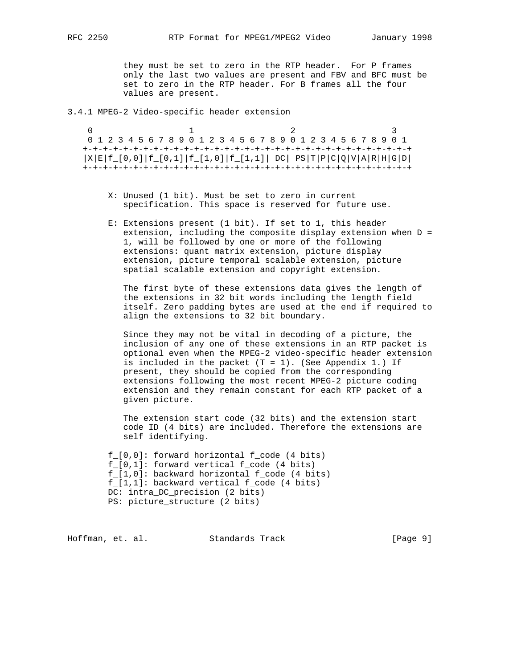they must be set to zero in the RTP header. For P frames only the last two values are present and FBV and BFC must be set to zero in the RTP header. For B frames all the four values are present.

3.4.1 MPEG-2 Video-specific header extension

0  $1$  2 3 0 1 2 3 4 5 6 7 8 9 0 1 2 3 4 5 6 7 8 9 0 1 2 3 4 5 6 7 8 9 0 1 +-+-+-+-+-+-+-+-+-+-+-+-+-+-+-+-+-+-+-+-+-+-+-+-+-+-+-+-+-+-+-+-+  $|X|E|f_{-}[0,0]|f_{-}[0,1]|f_{-}[1,0]|f_{-}[1,1]|$  DC  $|PS|T|P|C|Q|V|A|R|H|G|D|$ +-+-+-+-+-+-+-+-+-+-+-+-+-+-+-+-+-+-+-+-+-+-+-+-+-+-+-+-+-+-+-+-+

- X: Unused (1 bit). Must be set to zero in current specification. This space is reserved for future use.
- E: Extensions present (1 bit). If set to 1, this header extension, including the composite display extension when D = 1, will be followed by one or more of the following extensions: quant matrix extension, picture display extension, picture temporal scalable extension, picture spatial scalable extension and copyright extension.

 The first byte of these extensions data gives the length of the extensions in 32 bit words including the length field itself. Zero padding bytes are used at the end if required to align the extensions to 32 bit boundary.

 Since they may not be vital in decoding of a picture, the inclusion of any one of these extensions in an RTP packet is optional even when the MPEG-2 video-specific header extension is included in the packet  $(T = 1)$ . (See Appendix 1.) If present, they should be copied from the corresponding extensions following the most recent MPEG-2 picture coding extension and they remain constant for each RTP packet of a given picture.

 The extension start code (32 bits) and the extension start code ID (4 bits) are included. Therefore the extensions are self identifying.

 f\_[0,0]: forward horizontal f\_code (4 bits) f\_[0,1]: forward vertical f\_code (4 bits) f\_[1,0]: backward horizontal f\_code (4 bits) f\_[1,1]: backward vertical f\_code (4 bits) DC: intra\_DC\_precision (2 bits) PS: picture\_structure (2 bits)

Hoffman, et. al. Standards Track [Page 9]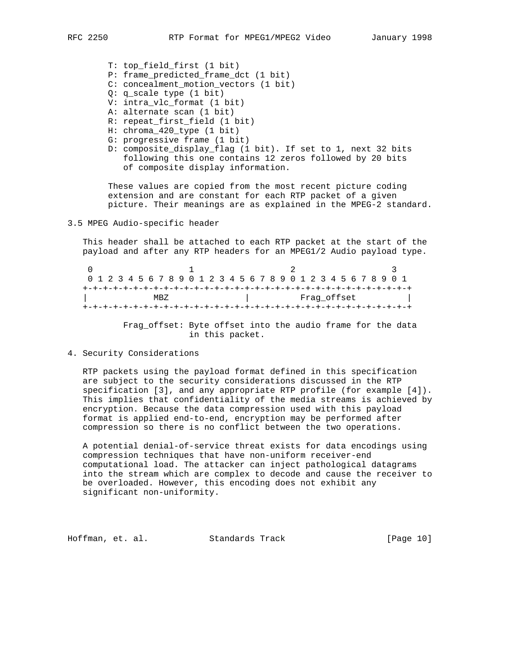T: top\_field\_first (1 bit)

- P: frame\_predicted\_frame\_dct (1 bit)
- C: concealment\_motion\_vectors (1 bit)
- Q: q\_scale type (1 bit)
- V: intra\_vlc\_format (1 bit)
- A: alternate scan (1 bit)
- R: repeat\_first\_field (1 bit)
- H: chroma\_420\_type (1 bit)
- G: progressive frame (1 bit)
- D: composite\_display\_flag (1 bit). If set to 1, next 32 bits following this one contains 12 zeros followed by 20 bits of composite display information.

 These values are copied from the most recent picture coding extension and are constant for each RTP packet of a given picture. Their meanings are as explained in the MPEG-2 standard.

3.5 MPEG Audio-specific header

 This header shall be attached to each RTP packet at the start of the payload and after any RTP headers for an MPEG1/2 Audio payload type.

| 0 1 2 3 4 5 6 7 8 9 0 1 2 3 4 5 6 7 8 9 0 1 2 3 4 5 6 7 8 9 0 1 |  |  |  |  |  |  |  |  |  |  |  |             |  |  |  |  |  |  |  |  |  |  |  |  |  |  |  |  |  |  |
|-----------------------------------------------------------------|--|--|--|--|--|--|--|--|--|--|--|-------------|--|--|--|--|--|--|--|--|--|--|--|--|--|--|--|--|--|--|
|                                                                 |  |  |  |  |  |  |  |  |  |  |  |             |  |  |  |  |  |  |  |  |  |  |  |  |  |  |  |  |  |  |
| MBZ.                                                            |  |  |  |  |  |  |  |  |  |  |  | Fraq offset |  |  |  |  |  |  |  |  |  |  |  |  |  |  |  |  |  |  |
|                                                                 |  |  |  |  |  |  |  |  |  |  |  |             |  |  |  |  |  |  |  |  |  |  |  |  |  |  |  |  |  |  |

 Frag\_offset: Byte offset into the audio frame for the data in this packet.

4. Security Considerations

 RTP packets using the payload format defined in this specification are subject to the security considerations discussed in the RTP specification [3], and any appropriate RTP profile (for example [4]). This implies that confidentiality of the media streams is achieved by encryption. Because the data compression used with this payload format is applied end-to-end, encryption may be performed after compression so there is no conflict between the two operations.

 A potential denial-of-service threat exists for data encodings using compression techniques that have non-uniform receiver-end computational load. The attacker can inject pathological datagrams into the stream which are complex to decode and cause the receiver to be overloaded. However, this encoding does not exhibit any significant non-uniformity.

Hoffman, et. al. Standards Track [Page 10]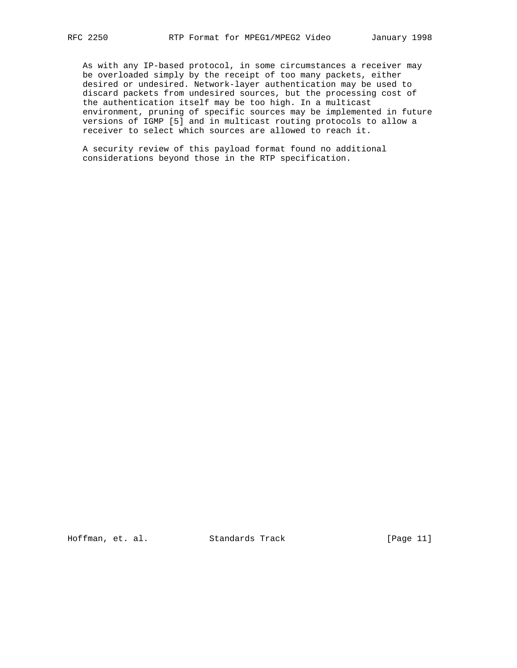As with any IP-based protocol, in some circumstances a receiver may be overloaded simply by the receipt of too many packets, either desired or undesired. Network-layer authentication may be used to discard packets from undesired sources, but the processing cost of the authentication itself may be too high. In a multicast environment, pruning of specific sources may be implemented in future versions of IGMP [5] and in multicast routing protocols to allow a receiver to select which sources are allowed to reach it.

 A security review of this payload format found no additional considerations beyond those in the RTP specification.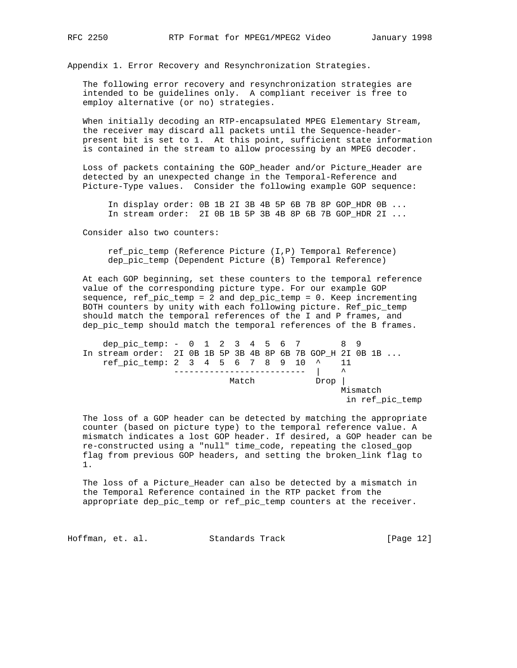Appendix 1. Error Recovery and Resynchronization Strategies.

 The following error recovery and resynchronization strategies are intended to be guidelines only. A compliant receiver is free to employ alternative (or no) strategies.

 When initially decoding an RTP-encapsulated MPEG Elementary Stream, the receiver may discard all packets until the Sequence-header present bit is set to 1. At this point, sufficient state information is contained in the stream to allow processing by an MPEG decoder.

 Loss of packets containing the GOP\_header and/or Picture\_Header are detected by an unexpected change in the Temporal-Reference and Picture-Type values. Consider the following example GOP sequence:

 In display order: 0B 1B 2I 3B 4B 5P 6B 7B 8P GOP\_HDR 0B ... In stream order: 2I 0B 1B 5P 3B 4B 8P 6B 7B GOP\_HDR 2I ...

Consider also two counters:

 ref\_pic\_temp (Reference Picture (I,P) Temporal Reference) dep\_pic\_temp (Dependent Picture (B) Temporal Reference)

 At each GOP beginning, set these counters to the temporal reference value of the corresponding picture type. For our example GOP sequence, ref\_pic\_temp = 2 and dep\_pic\_temp = 0. Keep incrementing BOTH counters by unity with each following picture. Ref\_pic\_temp should match the temporal references of the I and P frames, and dep\_pic\_temp should match the temporal references of the B frames.

dep\_pic\_temp: - 0 1 2 3 4 5 6 7 8 9 In stream order: 2I 0B 1B 5P 3B 4B 8P 6B 7B GOP\_H 2I 0B 1B ...  $ref\_pic\_temp: 2 \ 3 \ 4 \ 5 \ 6 \ 7 \ 8 \ 9 \ 10 \ \stackrel{\wedge}{\cdot} \ 11$ -------------------------- |  $\hspace{1em}$ Match Drop Mismatch in ref\_pic\_temp

 The loss of a GOP header can be detected by matching the appropriate counter (based on picture type) to the temporal reference value. A mismatch indicates a lost GOP header. If desired, a GOP header can be re-constructed using a "null" time\_code, repeating the closed\_gop flag from previous GOP headers, and setting the broken\_link flag to 1.

 The loss of a Picture\_Header can also be detected by a mismatch in the Temporal Reference contained in the RTP packet from the appropriate dep\_pic\_temp or ref\_pic\_temp counters at the receiver.

Hoffman, et. al. Standards Track [Page 12]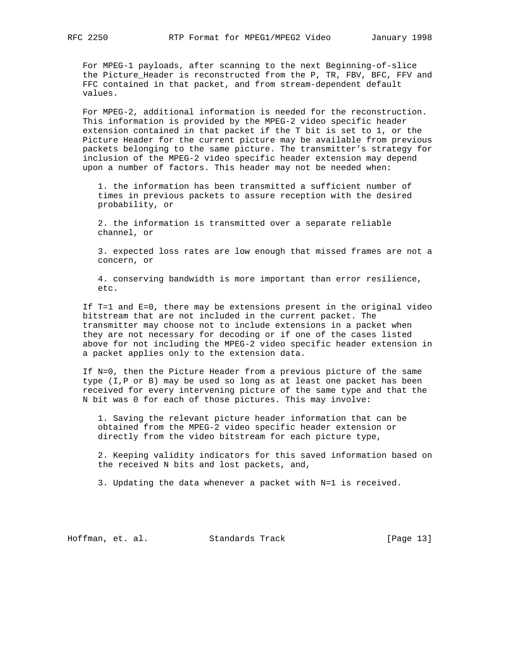For MPEG-1 payloads, after scanning to the next Beginning-of-slice the Picture\_Header is reconstructed from the P, TR, FBV, BFC, FFV and FFC contained in that packet, and from stream-dependent default values.

 For MPEG-2, additional information is needed for the reconstruction. This information is provided by the MPEG-2 video specific header extension contained in that packet if the T bit is set to 1, or the Picture Header for the current picture may be available from previous packets belonging to the same picture. The transmitter's strategy for inclusion of the MPEG-2 video specific header extension may depend upon a number of factors. This header may not be needed when:

 1. the information has been transmitted a sufficient number of times in previous packets to assure reception with the desired probability, or

 2. the information is transmitted over a separate reliable channel, or

 3. expected loss rates are low enough that missed frames are not a concern, or

 4. conserving bandwidth is more important than error resilience, etc.

 If T=1 and E=0, there may be extensions present in the original video bitstream that are not included in the current packet. The transmitter may choose not to include extensions in a packet when they are not necessary for decoding or if one of the cases listed above for not including the MPEG-2 video specific header extension in a packet applies only to the extension data.

 If N=0, then the Picture Header from a previous picture of the same type (I,P or B) may be used so long as at least one packet has been received for every intervening picture of the same type and that the N bit was 0 for each of those pictures. This may involve:

 1. Saving the relevant picture header information that can be obtained from the MPEG-2 video specific header extension or directly from the video bitstream for each picture type,

 2. Keeping validity indicators for this saved information based on the received N bits and lost packets, and,

3. Updating the data whenever a packet with N=1 is received.

Hoffman, et. al. Standards Track [Page 13]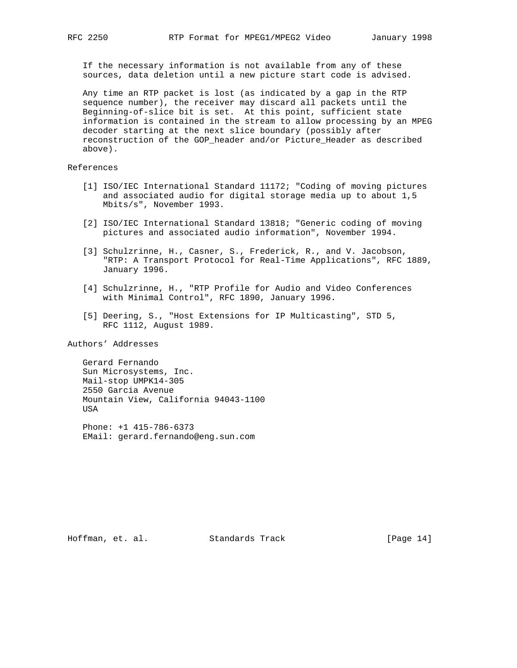If the necessary information is not available from any of these sources, data deletion until a new picture start code is advised.

 Any time an RTP packet is lost (as indicated by a gap in the RTP sequence number), the receiver may discard all packets until the Beginning-of-slice bit is set. At this point, sufficient state information is contained in the stream to allow processing by an MPEG decoder starting at the next slice boundary (possibly after reconstruction of the GOP\_header and/or Picture\_Header as described above).

References

- [1] ISO/IEC International Standard 11172; "Coding of moving pictures and associated audio for digital storage media up to about 1,5 Mbits/s", November 1993.
- [2] ISO/IEC International Standard 13818; "Generic coding of moving pictures and associated audio information", November 1994.
- [3] Schulzrinne, H., Casner, S., Frederick, R., and V. Jacobson, "RTP: A Transport Protocol for Real-Time Applications", RFC 1889, January 1996.
- [4] Schulzrinne, H., "RTP Profile for Audio and Video Conferences with Minimal Control", RFC 1890, January 1996.
- [5] Deering, S., "Host Extensions for IP Multicasting", STD 5, RFC 1112, August 1989.

Authors' Addresses

 Gerard Fernando Sun Microsystems, Inc. Mail-stop UMPK14-305 2550 Garcia Avenue Mountain View, California 94043-1100 USA

 Phone: +1 415-786-6373 EMail: gerard.fernando@eng.sun.com

Hoffman, et. al. Standards Track [Page 14]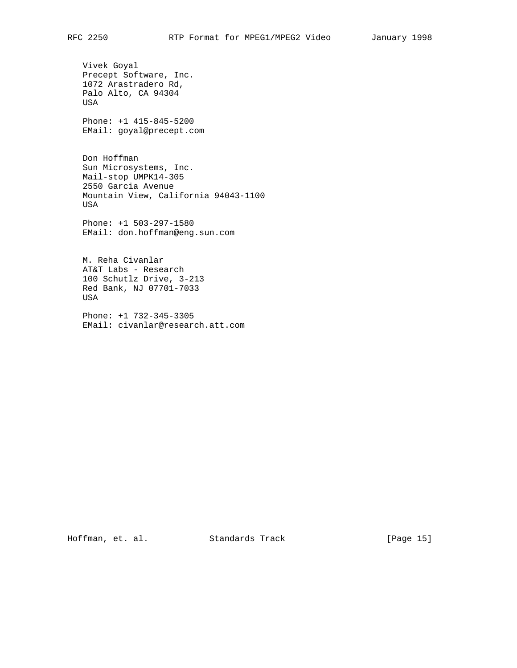Vivek Goyal Precept Software, Inc. 1072 Arastradero Rd, Palo Alto, CA 94304 USA

 Phone: +1 415-845-5200 EMail: goyal@precept.com

 Don Hoffman Sun Microsystems, Inc. Mail-stop UMPK14-305 2550 Garcia Avenue Mountain View, California 94043-1100 USA

 Phone: +1 503-297-1580 EMail: don.hoffman@eng.sun.com

 M. Reha Civanlar AT&T Labs - Research 100 Schutlz Drive, 3-213 Red Bank, NJ 07701-7033 USA

 Phone: +1 732-345-3305 EMail: civanlar@research.att.com

Hoffman, et. al. Standards Track [Page 15]